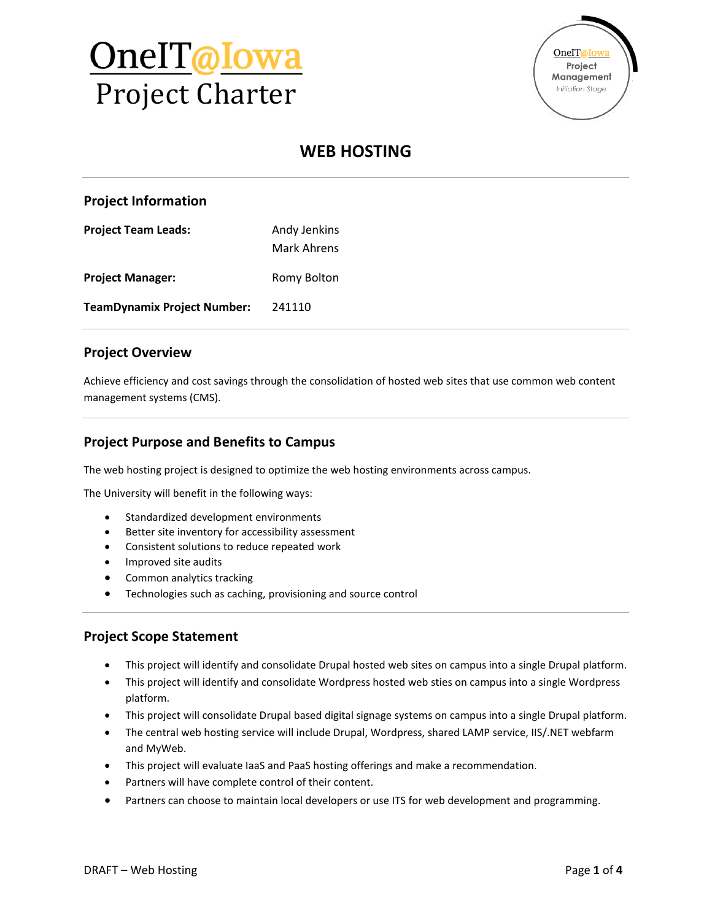



# **WEB HOSTING**

#### **Project Information**

**Project Team Leads:** Andy Jenkins Mark Ahrens **Project Manager:** Romy Bolton **TeamDynamix Project Number:** 241110

#### **Project Overview**

Achieve efficiency and cost savings through the consolidation of hosted web sites that use common web content management systems (CMS).

### **Project Purpose and Benefits to Campus**

The web hosting project is designed to optimize the web hosting environments across campus.

The University will benefit in the following ways:

- Standardized development environments
- Better site inventory for accessibility assessment
- Consistent solutions to reduce repeated work
- Improved site audits
- Common analytics tracking
- Technologies such as caching, provisioning and source control

#### **Project Scope Statement**

- This project will identify and consolidate Drupal hosted web sites on campus into a single Drupal platform.
- This project will identify and consolidate Wordpress hosted web sties on campus into a single Wordpress platform.
- This project will consolidate Drupal based digital signage systems on campus into a single Drupal platform.
- The central web hosting service will include Drupal, Wordpress, shared LAMP service, IIS/.NET webfarm and MyWeb.
- This project will evaluate IaaS and PaaS hosting offerings and make a recommendation.
- Partners will have complete control of their content.
- Partners can choose to maintain local developers or use ITS for web development and programming.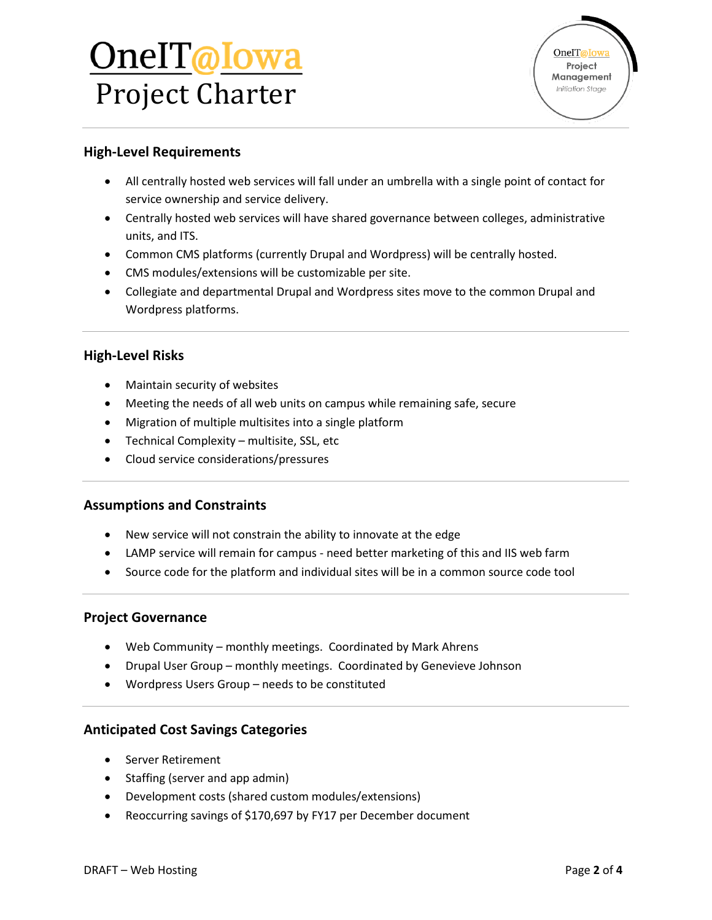# <u>OnelT@Iowa</u> Project Charter



### **High-Level Requirements**

- All centrally hosted web services will fall under an umbrella with a single point of contact for service ownership and service delivery.
- Centrally hosted web services will have shared governance between colleges, administrative units, and ITS.
- Common CMS platforms (currently Drupal and Wordpress) will be centrally hosted.
- CMS modules/extensions will be customizable per site.
- Collegiate and departmental Drupal and Wordpress sites move to the common Drupal and Wordpress platforms.

#### **High-Level Risks**

- Maintain security of websites
- Meeting the needs of all web units on campus while remaining safe, secure
- Migration of multiple multisites into a single platform
- Technical Complexity multisite, SSL, etc
- Cloud service considerations/pressures

#### **Assumptions and Constraints**

- New service will not constrain the ability to innovate at the edge
- LAMP service will remain for campus need better marketing of this and IIS web farm
- Source code for the platform and individual sites will be in a common source code tool

#### **Project Governance**

- Web Community monthly meetings. Coordinated by Mark Ahrens
- Drupal User Group monthly meetings. Coordinated by Genevieve Johnson
- Wordpress Users Group needs to be constituted

#### **Anticipated Cost Savings Categories**

- Server Retirement
- Staffing (server and app admin)
- Development costs (shared custom modules/extensions)
- Reoccurring savings of \$170,697 by FY17 per December document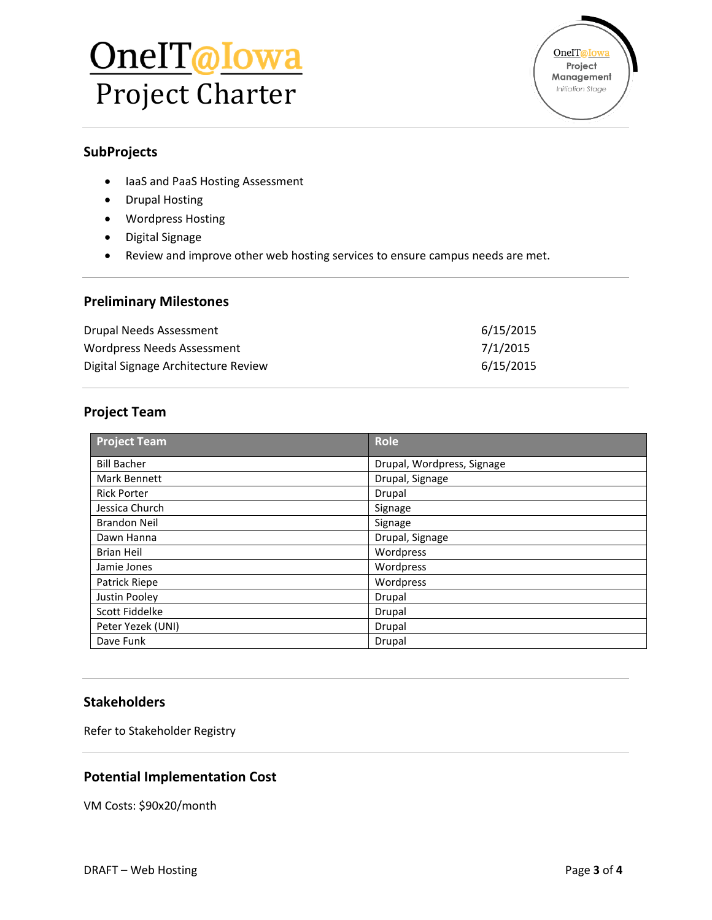# OneIT@Iowa Project Charter



## **SubProjects**

- IaaS and PaaS Hosting Assessment
- Drupal Hosting
- Wordpress Hosting
- Digital Signage
- Review and improve other web hosting services to ensure campus needs are met.

# **Preliminary Milestones**

| Drupal Needs Assessment             | 6/15/2015 |
|-------------------------------------|-----------|
| Wordpress Needs Assessment          | 7/1/2015  |
| Digital Signage Architecture Review | 6/15/2015 |

# **Project Team**

| <b>Project Team</b> | <b>Role</b>                |
|---------------------|----------------------------|
| <b>Bill Bacher</b>  | Drupal, Wordpress, Signage |
| Mark Bennett        | Drupal, Signage            |
| <b>Rick Porter</b>  | Drupal                     |
| Jessica Church      | Signage                    |
| <b>Brandon Neil</b> | Signage                    |
| Dawn Hanna          | Drupal, Signage            |
| <b>Brian Heil</b>   | Wordpress                  |
| Jamie Jones         | Wordpress                  |
| Patrick Riepe       | Wordpress                  |
| Justin Pooley       | Drupal                     |
| Scott Fiddelke      | Drupal                     |
| Peter Yezek (UNI)   | Drupal                     |
| Dave Funk           | Drupal                     |

#### **Stakeholders**

Refer to Stakeholder Registry

# **Potential Implementation Cost**

VM Costs: \$90x20/month